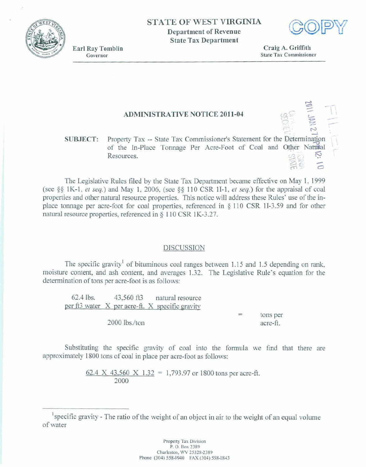



**Earl Ray Tomblin** Governor

Craig A. Griffith **State Tax Commissioner** 

## **ADMINISTRATIVE NOTICE 2011-04**

## Property Tax -- State Tax Commissioner's Statement for the Determination **SUBJECT:** of the In-Place Tonnage Per Acre-Foot of Coal and Other Natural Resources.

The Legislative Rules filed by the State Tax Department became effective on May 1, 1999 (see §§ 1K-1, et seq.) and May 1, 2006, (see §§ 110 CSR 1I-1, et seq.) for the appraisal of coal properties and other natural resource properties. This notice will address these Rules' use of the inplace tonnage per acre-foot for coal properties, referenced in § 110 CSR 1I-3.59 and for other natural resource properties, referenced in § 110 CSR 1K-3.27.

## **DISCUSSION**

The specific gravity<sup>1</sup> of bituminous coal ranges between 1.15 and 1.5 depending on rank. moisture content, and ash content, and averages 1.32. The Legislative Rule's equation for the determination of tons per acre-foot is as follows:

 $62.4$  lbs. 43,560 ft3 natural resource per ft3 water X per acre-ft. X specific gravity  $\equiv$ tons per 2000 lbs./ton acre-ft.

Substituting the specific gravity of coal into the formula we find that there are approximately 1800 tons of coal in place per acre-foot as follows:

> 62.4 X 43,560 X 1.32 = 1,793.97 or 1800 tons per acre-ft. 2000

specific gravity - The ratio of the weight of an object in air to the weight of an equal volume of water